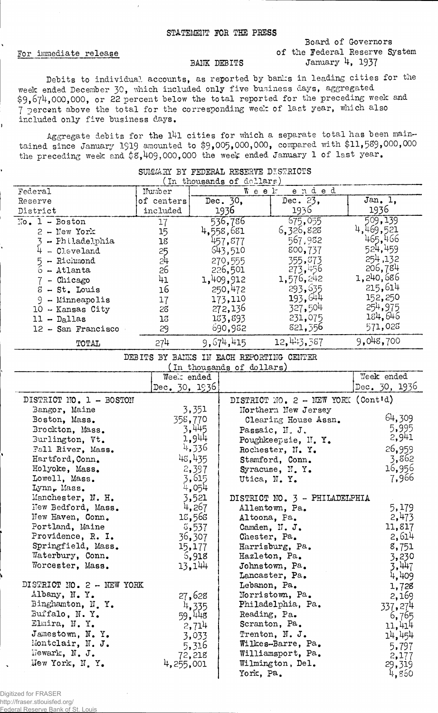### STATEMENT FOR THE PRESS

### For immediate release

 $\overline{1}$ 

## Board of Governors of the Federal Reserve System January 4, 1937

## BANK DEBITS

Debits to individual accounts, as reported by banks in leading cities for the week ended December 30, which included only five business days, aggregated \$9.674.000.000, or 22 percent below the total reported for the preceding week and 7 percent above the total for the corresponding week of last year, which also included only five business days.

Aggregate debits for the 141 cities for which a separate total has been maintained since January 1919 amounted to \$9,005,000,000, compared with \$11,589,000,000 the preceding week and \$3,409,000,000 the week ended January 1 of last year.

| TU<br>thousands of dollars) |            |               |              |           |  |
|-----------------------------|------------|---------------|--------------|-----------|--|
| Federal                     | Number     | ended<br>Week |              |           |  |
| Reserve                     | of centers | Dec. 30,      | Dec. 23,     | Jan. 1,   |  |
| District                    | included   | 1936          | 1936         | 1936      |  |
| $\mathbb{N}$ o. 1 - Boston  | 17         | 536,786       | 675,055      | 509,139   |  |
| $2 - New York$              | 15         | 4,558,681     | 6,326,828    | 469,521   |  |
| - Philadelphia              | 18         | 457,877       | 567.982      | 465.466   |  |
| - Cleveland                 | 25         | 643,510       | 800,737      | 524,459   |  |
| $5 -$ Richmond              | 24         | 270,555       | 355,873      | 254,132   |  |
| 6 - Atlanta                 | 26         | 226,501       | 273,456      | 206,784   |  |
| - Chicago                   | 41         | 1,409,912     | 1,576,242    | 1,240,686 |  |
| - St. Louis                 | 16         | 250,472       | 293,635      | 215,614   |  |
| 9<br>- Minneapolis          | 17         | 173,110       | 193,644      | 152,250   |  |
| 10<br>- Kansas City         | 28         | 272,136       | 327,504      | 254,975   |  |
| $11 - D_4$ llas             | 13         | 133,893       | 231,075      | 184,646   |  |
| 12 - San Francisco          | 29         | 690,952       | 821, 356     | 571,028   |  |
| TOTAL                       | 274        | 9,674,415     | 12, 443, 387 | 9,048,700 |  |

# SUMMARY BY FEDERAL RESERVE DISTRICTS

DEBITS BY BAIKS IN EACH REPORTING CENTER<br>(In thousands of dollars)

| in thousands of dollars)  |                 |                                      |                 |  |  |
|---------------------------|-----------------|--------------------------------------|-----------------|--|--|
|                           | Week ended      |                                      | Week ended      |  |  |
|                           | Dec. $30, 1936$ |                                      | Dec. $30, 1936$ |  |  |
| DISTRICT NO. 1 - BOSTON   |                 | DISTRICT NO. $2$ - NEW YORK (Cont'd) |                 |  |  |
| Bangor, Maine             | 3,351           | Northern New Jersey                  |                 |  |  |
| Boston, Mass.             | 358,770         | Clearing House Assn.                 | 64,309          |  |  |
| Brockton, Mass.           | 3,445           | Passaic, N.J.                        | 5,995           |  |  |
| Burlington, Vt.           | 1,944           | Poughkeepsie, N.Y.                   | 2,941           |  |  |
| Fall River, Mass.         | 4,336           | Rochester, N. Y.                     | 26,959          |  |  |
| Hartford, Conn.           | 48,435          | Stamford, Conn.                      | 3,862           |  |  |
| Holyoke, Mass.            | 2,397           | Syracuse, N.Y.                       | 16,956          |  |  |
| Lowell, Mass.             | 3,615           | Utica, N.Y.                          | 7,966           |  |  |
| Lynn, Mass.               | 4,054           |                                      |                 |  |  |
| Manchester, N. H.         | 3,521           | DISTRICT NO. 3 - PHILADELPHIA        |                 |  |  |
| New Bedford, Mass.        | 4,267           | Allentown, Pa.                       | 5,179           |  |  |
| New Haven, Conn.          | 18,568          | Altoona, Pa.                         | 2,473           |  |  |
| Portland, Maine           | 5,537           | Camden, N. J.                        | 11,817          |  |  |
| Providence, R. I.         | 36,307          | Chester, Pa.                         | 2,614           |  |  |
| Springfield, Mass.        | 15,177          | Harrisburg, Pa.                      | 8,751           |  |  |
| Waterbury, Conn.          | 5,918           | Hazleton, Pa.                        | 3,230           |  |  |
| Worcester, Mass.          | 13,144          | Johnstown, Pa.                       | 3,447           |  |  |
|                           |                 | Lancaster, Pa.                       | 4,409           |  |  |
| DISTRICT NO. 2 - NEW YORK |                 | Lebanon, Pa.                         | 1,728           |  |  |
| Albany, N.Y.              | 27,628          | Norristown, Pa.                      | 2,169           |  |  |
| Binghamton, N.Y.          | 4,335           | Philadelphia, Pa.                    | 337,274         |  |  |
| Buffalo, N.Y.             | 59,448          | Reading, Pa.                         | 6,765           |  |  |
| Elmira, N.Y.              | 2,714           | Scranton, Pa.                        | 11,414          |  |  |
| Jamestown, N. Y.          | 3,033           | Trenton, N. J.                       | 14,454          |  |  |
| Montclair, N. J.          | 5,316           | Wilkes-Barre, Pa.                    | 5,797           |  |  |
| Hewark, N. J.             | 72,218          | Williamsport, Pa.                    | 2,177           |  |  |
| Hew York, N.Y.            | 4,255,001       | Wilmington, Del.                     | 29,319          |  |  |
|                           |                 | York, Pa.                            | 4,850           |  |  |

Digitized for FRASER http://fraser.stlouisfed.org/ Federal Reserve Bank of St. Louis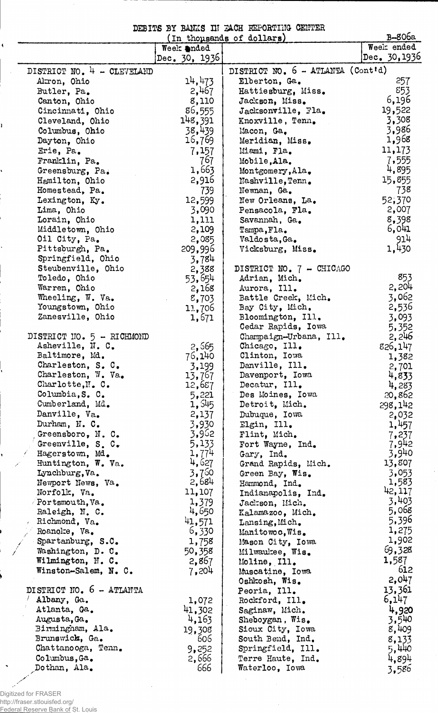DEBITS BY BANKS IN EACH REPORTING CENTER

|                              | In thousands of dollars) | B-806a                            |                 |  |  |
|------------------------------|--------------------------|-----------------------------------|-----------------|--|--|
|                              | Week anded               |                                   | Week ended      |  |  |
|                              | Dec. $30, 1936$          |                                   | Dec. 30,1936    |  |  |
| DISTRICT NO. $4 -$ CLEVELAND |                          | DISTRICT NO. 6 - ATLANTA (Cont'd) |                 |  |  |
| Akron, Ohio                  | 14,473                   | Elberton, Ga.                     | 257             |  |  |
| Butler, Pa.                  | 2,467                    | Hattiesburg, Miss.                | 853             |  |  |
| Canton, Ohio                 | 8,110                    | Jackson, Miss.                    | 6,196           |  |  |
| Cincinnati, Ohio             | 86,555                   | Jacksonville, Fla.                | 19,522          |  |  |
| Cleveland, Ohio              | 148,391                  | Knoxville, Tenn.                  | 3,308           |  |  |
| Columbus, Ohio               | 38,439                   | Macon, Ga.                        | 3,986           |  |  |
| Dayton, Ohio                 | 16,769                   | Meridian, Miss.                   | 1,968           |  |  |
| Erie, Pa.                    | 7,157                    | Miami, Fla.                       | 11,173          |  |  |
| Franklin, Pa.                | 767                      | Mobile, Ala.                      | 7,555           |  |  |
| Greensburg, Pa.              | 1,663                    | Montgomery, Ala.                  | 4,895           |  |  |
| Hamilton, Ohio               | 2,916                    | Nashville, Tenn.                  | 15,855          |  |  |
| Homestead, Pa.               | 739                      | Newnan, Ga.                       | 738             |  |  |
| Lexington, Ky.               | 12,599                   | New Orleans, La.                  | 52,370          |  |  |
| Lima, Ohio                   | 3,090                    | Pensacola, Fla.                   | 2,007           |  |  |
| Lorain, Ohio                 | 1,111                    | Savannah, Ga.                     | 8,398           |  |  |
| Middletown, Ohio             | 2,109                    | Tampa, Fla.                       | 6,041           |  |  |
| Oil City, Pa.                | 2,085                    | Valdosta, Ga.                     | 914             |  |  |
| Pittsburgh, Pa.              | 209,996                  | Vicksburg, Miss.                  | 1,430           |  |  |
| Springfield, Ohio            | 3,784                    |                                   |                 |  |  |
| Steubenville, Ohio           | 2,388                    | DISTRICT NO. 7 - CHICAGO          |                 |  |  |
| Toledo, Ohio                 | 53,654                   | Adrian, Mich.                     | 853             |  |  |
| Warren, Ohio                 | 2,168                    | Aurora, Ill.                      | 2,204           |  |  |
| Wheeling, W. Va.             | 8,703                    | Battle Creek, Mich.               | 3,062           |  |  |
| Youngstown, Ohio             | 11,706                   | Bay City, Mich.                   | 2,536           |  |  |
| Zanesville, Ohio             | 1,671                    | Bloomington, Ill.                 | 3,093           |  |  |
|                              |                          | Cedar Rapids, Iowa                | 5,352           |  |  |
| DISTRICT NO. 5 - RICHMOND    |                          | Champaign-Urbana, Ill.            | 2,246           |  |  |
| Asheville, N. C.             | 2,565                    | Chicago, Ill.                     | 826,147         |  |  |
| Baltimore, Md.               | 76,140                   | Clinton, Iowa                     | 1,382           |  |  |
| Charleston, S. C.            | 3,199                    | Danville, Ill.                    | 2,701           |  |  |
| Charleston, W. Va.           | 13,767                   | Davenport, Iowa                   | 4,833           |  |  |
| Charlotte, N. C.             | 12,687                   | Decatur, Ill.                     | 4,283           |  |  |
| Columbia, S. C.              | 5,221                    | Des Moines, Iowa                  | 20,862          |  |  |
| Cumberland, Md.              | 1,545                    | Detroit, Mich.                    | 298,142         |  |  |
| Danville, Va.                | 2,137                    | Dubuque, Iowa                     | 2,032           |  |  |
| Durham, N. C.                | 3,930                    | Elgin, Ill.                       | 1,457           |  |  |
| Greensboro, N. C.            | 3,962                    | Flint, Mich.                      | 7,237           |  |  |
| Greenville, S. C.            | 5,133                    | Fort Wayne, Ind.                  | 7,942           |  |  |
| Hagerstown, Md.              | 1,774                    | Gary, Ind.                        | 3,940           |  |  |
| Huntington, W. Va.           | 4,627                    | Grand Rapids, Mich.               | 13,807          |  |  |
| Lynchburg, Va.               | 3,760                    | Green Bay, Wis.                   | 3,053           |  |  |
| Newport News, Va.            | 2,684                    | Hammond, Ind.                     | 1,583           |  |  |
| Norfolk, Va.                 | 11,107                   | Indianapolis, Ind.                | 42,117          |  |  |
| Portsmouth, Va.              | 1,379                    | Jackson, Mich.                    | 3,403           |  |  |
| Raleigh, N. C.               | 4,650                    | Kalamazoo, Mich.                  | 5,068           |  |  |
| Richmond, Va.                | 41,571                   | Lansing, Mich.                    | 5,396           |  |  |
| Roanoke, Va.                 | 6,330                    | Manitowoc, Wis.                   | 1,275           |  |  |
| Spartanburg, S.C.            | 1,758                    | Mason City, Iowa                  | 1,902           |  |  |
| Washington, D. C.            | 50,358                   | Milwaukee, Wis.                   | 69,328<br>1,587 |  |  |
| Wilmington, N. C.            | 2,867                    | Moline, Ill.                      | 612             |  |  |
| Winston-Salem, N. C.         | 7,204                    | Muscatine, Iowa                   | 2,047           |  |  |
| DISTRICT NO. 6 - ATLANTA     |                          | Oshkosh, Wis.                     | 13,361          |  |  |
| Albany, Ga.                  |                          | Peoria, Ill.<br>Rockford, Ill.    | 6,147           |  |  |
| Atlanta, Ga.                 | 1,072<br>41,302          | Saginaw, Mich.                    | 4,920           |  |  |
| Augusta, Ga.                 | 4,163                    | Sheboygan, $Wis_{\bullet}$        | 3,540           |  |  |
| Birmingham, Ala.             | 19,308                   | Sioux City, Iowa                  | 8,409           |  |  |
| Brunswick, Ga.               | 606                      | South Bend, Ind.                  | 8,133           |  |  |
| Chattanooga, Tenn.           | 9,252                    | Springfield, Ill.                 | 5,440           |  |  |
| Columbus, Ga.                | 2,666                    | Terre Haute, Ind.                 | 4,894           |  |  |
| Dothan, Ala.                 | 666                      | Waterloo, Iowa                    | 3,586           |  |  |
|                              |                          |                                   |                 |  |  |

Digitized for FRASER http://fraser.stlouisfed.org/ Federal Reserve Bank of St. Louis

ĭ